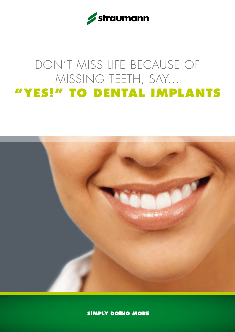

# DON'T MISS LIFE BECAUSE OF MISSING TEETH, SAY… **"YES!" TO DENTAL IMPLANTS**



**SIMPLY DOING MORE**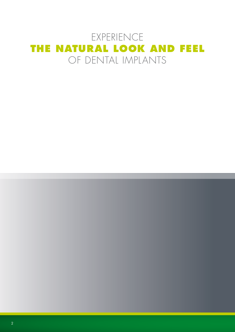### EXPERIENCE **THE NATURAL LOOK AND FEEL** OF DENTAL IMPLANTS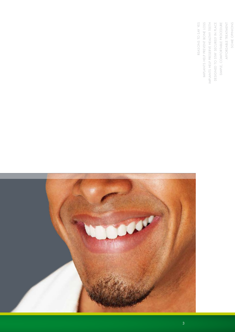REASONS TO SAY YES IMPLANTS HELP PREVENT BONE LOSS IMPLANTS HELP PRESERVE HEALTHY TEETH DESIGNED TO STAY SECURELY IN PLACE SIMPLE, COMFORTABLE PROCEDURE AFFORDABLE TREATMENT SOME OPINIONS o SAY Yes vent bone loss VE HEALTHY TEETH Affordable Treatment SOME OPINIONSDESIGNED TO Stay Securely in Pla Simple, Comfortable Pro REASONS t IMPLANTS Help pre IMPLANTS HELP PRESER

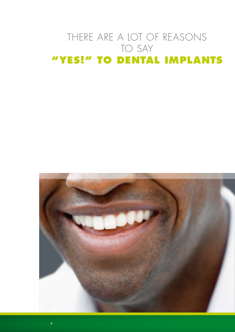## THERE ARE A LOT OF REASONS TO SAY **"YES!" TO DENTAL IMPLANTS**

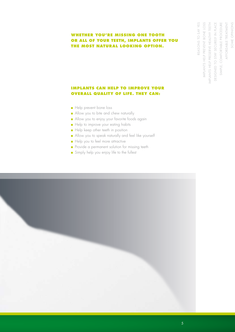#### **Whether you're missing one tooth or all of your teeth, implants offer you the most natural lOOkING option.**

#### **IMPLANTS CAN HELP TO IMPROVE YOUR OVERALL QUALITY OF LIFE. They can:**

- Help prevent bone loss
- Allow you to bite and chew naturally
- Allow you to enjoy your favorite foods again
- Help to improve your eating habits
- Help keep other teeth in position
- Allow you to speak naturally and feel like yourself
- Help you to feel more attractive
- Provide a permanent solution for missing teeth
- Simply help you enjoy life to the fullest

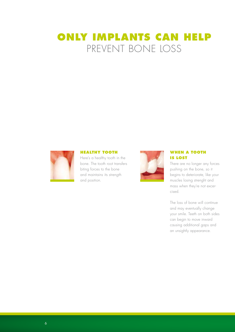### **ONLY IMPLANTS CAN HELP** PREVENT BONE LOSS



#### **HEALTHY TOOTH**

Here's a healthy tooth in the bone. The tooth root transfers biting forces to the bone and maintains its strength and position.



#### **WHEN A TOOTH IS LOST**

There are no longer any forces pushing on the bone, so it begins to deteriorate, like your muscles losing strenght and mass when they're not excercised.

The loss of bone will continue and may eventually change your smile. Teeth on both sides can begin to move inward causing additional gaps and an unsightly appearance.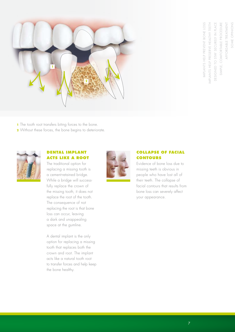



**1** The tooth root transfers biting forces to the bone.

**2** Without these forces, the bone begins to deteriorate.



#### **DENTAL IMPLANT acts like a root**

The traditional option for replacing a missing tooth is a cement-retained bridge. While a bridge will successfully replace the crown of the missing tooth, it does not replace the root of the tooth. The consequence of not replacing the root is that bone loss can occur, leaving a dark and unappealing space at the gumline.

A dental implant is the only option for replacing a missing tooth that replaces both the crown and root. The implant acts like a natural tooth root to transfer forces and help keep the bone healthy.



#### **collapse of facial contours**

Evidence of bone loss due to missing teeth is obvious in people who have lost all of their teeth. The collapse of facial contours that results from bone loss can severely affect your appearance.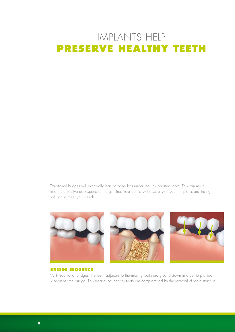## IMPLANTS HELP **PRESERVE HEALTHY TEETH**

Traditional bridges will eventually lead to bone loss under the unsupported tooth. This can result in an unattractive dark space at the gumline. Your dentist will discuss with you if implants are the right solution to meet your needs.



#### **BRIDGE SEQUENCE**

With traditional bridges, the teeth adjacent to the missing tooth are ground down in order to provide support for the bridge. This means that healthy teeth are compromised by the removal of tooth structure.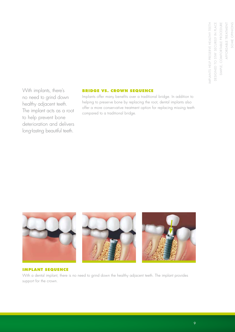With implants, there's no need to grind down healthy adjacent teeth. The implant acts as a root to help prevent bone deterioration and delivers long-Iasting beautiful teeth.

#### **Bridge vs. crown sequence**

Implants offer many benefits over a traditional bridge. In addition to helping to preserve bone by replacing the root, dental implants also offer a more conservative treatment option for replacing missing teeth compared to a traditional bridge.



#### **IMPLANT SEQUENCE**

With a dental implant, there is no need to grind down the healthy adjacent teeth. The implant provides support for the crown.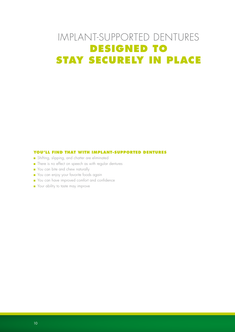## IMPLANT-SUPPORTED DENTURES **DESIGNED TO STAY SECURELY IN PLACE**

#### **You'll find that with implant-supported dentures**

- Shifting, slipping, and chatter are eliminated
- There is no effect on speech as with regular dentures
- You can bite and chew naturally
- You can enjoy your favorite foods again
- You can have improved comfort and confidence
- Your ability to taste may improve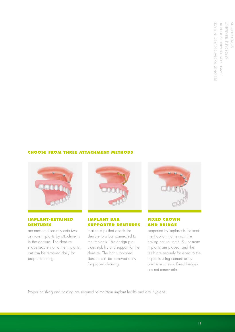DESIGNED TO STAY SECURELY IN PLACE SIMPLE, COMFORTABLE PROCEDURE AFFORDABLE TREATMENT SOME OPINIONS Affordable Treatment SOME OPINIONSDESIGNED TO Stay Securely in Pla Simple, Comfortable Pro

#### **Choose from three attachment methods**



#### **Implant-retained dentures**

are anchored securely onto two or more implants by attachments in the denture. The denture snaps securely onto the implants, but can be removed daily for proper cleaning.



#### **Implant bar supported dentures**

feature clips that attach the denture to a bar connected to the implants. This design provides stability and support for the denture. The bar supported denture can be removed daily for proper cleaning.



#### **Fixed crown and bridge**

supported by implants is the treatment option that is most like having natural teeth. Six or more implants are placed, and the teeth are securely fastened to the implants using cement or by precision screws. Fixed bridges are not removable.

Proper brushing and flossing are required to maintain implant health and oral hygiene.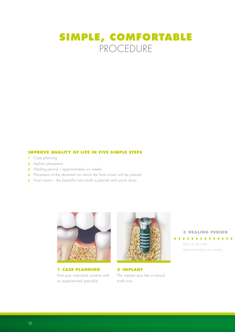### **SIMPLE, COMFORTABLE** PROCEDURE

#### **IMPROVE QUALITY OF LIFE IN FIVE SIMPLE STEPS**

- **1** Case planning
- **2** Implant placement
- **3** Healing period approximately six weeks
- **4** Placement of the abutment on which the final crown will be placed
- **5** Final crown the beautiful new tooth is placed and you're done



**1 Case Planning** Find your individual solution with an experienced specialist.



**2 Implant** The implant acts like a natural tooth root.

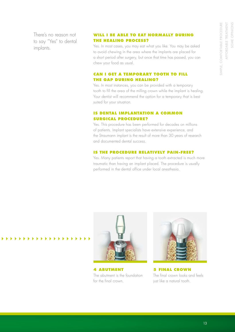There's no reason not to say "Yes" to dental implants.

#### **Will I be able to eat normally during the healing process?**

Yes. In most cases, you may eat what you like. You may be asked to avoid chewing in the area where the implants are placed for a short period after surgery, but once that time has passed, you can chew your food as usual.

#### **Can I get a temporary tooth to fill the gap during healing?**

Yes. In most instances, you can be provided with a temporary tooth to fill the area of the milling crown while the implant is healing. Your dentist will recommend the option for a temporary that is best suited for your situation.

#### **Is dental implantation a common SURGICAL PROCEDURE?**

Yes. This procedure has been performed for decades on millions of patients. Implant specialists have extensive experience, and the Straumann implant is the result of more than 30 years of research and documented dental success.

#### **Is the procedure relatively pain-free?**

Yes. Many patients report that having a tooth extracted is much more traumatic than having an implant placed. The procedure is usually performed in the dental office under local anesthesia.



**4 ABUTMENT** The abutment is the foundation for the final crown.



**5 FINAL CROWN** The final crown looks and feels just like a natural tooth.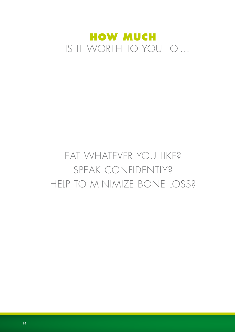

# Eat whatever you like? Speak confidently? HELP TO MINIMIZE BONE LOSS?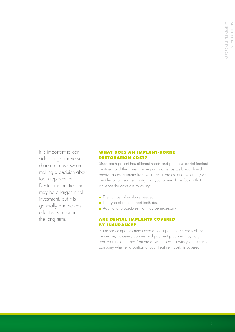It is important to consider long-term versus short-term costs when making a decision about tooth replacement. Dental implant treatment may be a larger initial investment, but it is generally a more costeffective solution in the long term.

#### **What does an implant-borne restoration cost?**

Since each patient has different needs and priorities, dental implant treatment and the corresponding costs differ as well. You should receive a cost estimate from your dental professional when he/she decides what treatment is right for you. Some of the factors that influence the costs are following:

- The number of implants needed
- The type of replacement teeth desired
- Additional procedures that may be necessary

#### **Are dental implants covered by insurance?**

Insurance companies may cover at least parts of the costs of the procedure; however, policies and payment practices may vary from country to country. You are advised to check with your insurance company whether a portion of your treatment costs is covered.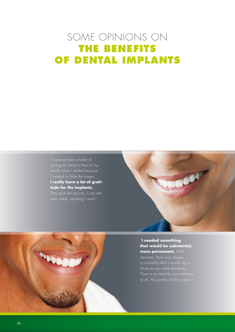## SOME OPINIONS ON **THE BENEFITS OF dental implants**

"I used to have a habit of mouth when I smiled because I wanted to hide the clasps. **I really have a lot of gratitude for the implants.**

corn, steak, anything I want."



"**I needed something that would be substantial, more permanent.** With

dentures, there was always a possibility that it would slip or move as you were speaking. There is no need for any adhesive at all. My quality of life is great."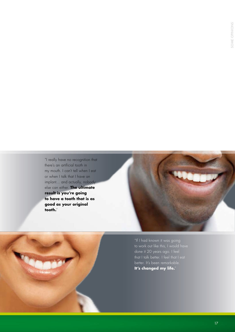"I really have no recognition that there's an artificial tooth in my mouth. I can't tell when I eat or when I talk that I have an implant… and actually, nobody else can either. **The ultimate result is you're going to have a tooth that is as good as your original tooth.**"



"If I had known it was going to work out like this, I would have done it 20 years ago. I feel that I talk better. I feel that I eat better. It's been remarkable. **It's changed my life.**"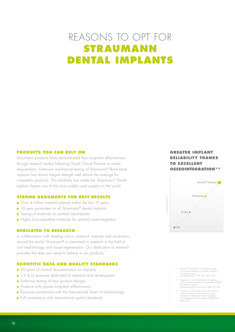### REASONS TO OPT FOR **STRAUMANN DENTAL IMPLANTS**

#### **Products you can rely on**

Straumann products have demonstrated their long-term effectiveness through research studies following Good Clinical Practice or similar requirements. Extensive mechanical testing of Straumann® Bone Level implants has shown fatigue strength well above the average for competitor products. This reliability has made the Straumann® Dental Implant System one of the most widely used systems in the world.

#### **Strong arguments for best results**

- Over 4 million implants placed within the last 10 years
- 10-year guarantee on all Straumann® dental implants
- Testing of materials at certified laboratories
- Highly biocompatible materials for optimal osseointegration

#### **Dedicated to research**

In collaboration with leading clinics, research institutes and universities around the world, Straumann® is committed to research in the field of oral implantology and tissue regeneration. Our dedication to research provides the data you need to believe in our products.

#### **Scientific data and quality standards**

- 20 years of clinical documentation on implants
- > 5 % of revenues dedicated to research and development
- Extensive testing of new product designs
- Products with proven long-term effectiveness
- Exclusive partnership with the International Team of Implantology
- Full compliance with international quality standards

#### **GREATER IMPLANT RELIABILITY THANKS TO EXCELLENT OSSEOINTEGRATION**<sup>1-3</sup>



- 1 Wong M. et al, Effect of surface topology on the osseointegration of implant materials in trabecular bone. J Biomed Mat Res 1995, 29: 1567–1575
- 2 Ferguson S.J. et al, Biomechanical evaluation of the interface strength of a chemically modified SLA titanium surface. J Biomed Mat Res. 2006 Aug; 78(2): 291–297
- 3 Gottlow J. et al, Evaluation of a new titanium-zirconium implant: a biomechanical and histological comparative study in minipigs, oral presentation at AO meeting 2008 Boston, data on file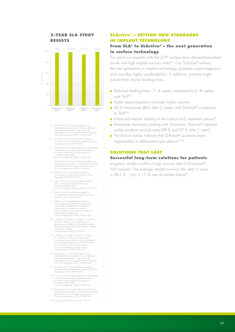#### **5-YEAR SLA STUDY RESULTS**



- 4 Bornstein M.M. et al, Early loading of nonsubmerged titanium implants with a sandblasted and acid-etched surface. 5-year results of a prospective study in partially edentulous patients. Clin Oral Implants Res 2005; 16:631–638
- 5 Cochran D. et al, Clinical field trial examining an implant with a sandblasted, acid-etched surface. J Periodontol 2007; 78:974–982
- 6 Fischer K. et al, Five-year results from a randomized controlled trial on early and delayed loading of implants supporting full-arch prosthesis in the edentulous maxilla. Clin Oral Implants Res 2008; 19:433–441
- 7 Roccuzzo M. et al, Early loading of sandblasted and acid-etched implants: a randomized-controlled double-blind split-mouth study. Five-year results. Clin Oral Implants Res 2008; 19:148–152
- 8 Buser D. et al, Enhanced bone apposition to a chemically modified SLA titanium surface. J Dent Res 2004; 83:529–533
- 9 Oates T.W. et al, Enhanced implant stability with a chemically modified SLA surface: a randomized pilot study. Int J Oral Maxillofac Implants 2007; 22:755–760
- 10 Buser D. et al, Enhanced bone apposition to a chemically modified SLA titanium surface. J Dent Res 2004; 83:529–533
- 11 Zöllner A. et al, Immediate and early non-occlusal loading of Straumann implants with a chemically modified surface (SLActive) in the posterior mandible and maxilla. Interim resulats from a prospective multicenter randomized-controlled study. Clin Oral Implants Res 2008; 19:442–450
- 12 F. Schwarz, M. Herten, M. Sager, M. Wieland, M. Dard, J. Becker. Bone regeneration in<br>dehiscence-type defects at chemically modified<br>(SLActive) and conventional SLA titanium implants:<br>a pilot study in dogs.<br>J Clin Periodontol 2007; 34:78–86
- 13 F. Schwarz, M. Sager, D. Ferrari, M. Herten, M. Wieland, J. Becker. Bone regeneration in dehiscence-type defects and non-submerged and submerged chemically modified (SLActive) and conventional SLA titanium implants: an immunohistochemical study in dogs. J Clin Periodontol 2008; 35:64–75
- 14 Bornstein M.M. et al, Early loading of non-submerged titanium implants with a sandblasted and acid-etched surface. 5-year results of a prospective study in partially edentulous patients. Clin Oral Implants Res 2005; 16:631–638
- 15 Cochran D. et al, Clinical field trial examining an implant with a sandblasted, acid-etched surface. J Periodontol 2007; 78:974–982
- 16 Fischer K. et al, Five-year results from a randomized controlled trial on early and delayed loading of implants supporting full-arch prosthesis in the edentulous maxilla. Clin Oral Implants Res 2008; 19:433–441
- 17 Roccuzzo M. et al, Early loading of sandblasted and acid-etched implants: a randomized-controlled double-blind split-mouth study. Five-year results. Clin Oral Implants Res 2008; 19:148–152
- 18 Average survival rate from studies 14 to 17

#### **SLActive® – SETTING NEW STANDARDS IN IMPLANT TECHNOLOGY From SLA® to SLactive® – the next generation**

### **in surface technology**

For years our implants with the SLA® surface have delivered excellent results and high implant success rates<sup>4-7</sup>. Our SLActive® surface, the next generation in implant technology, promotes osseointegration and provides higher predictability<sup>8</sup>. In addition, patients might benefit from shorter healing times.

- Reduced healing times:  $3 4$  weeks compared to 6 8 weeks with SLA®<sup>9</sup>
- Faster osseointegration provides higher security
- 60 % more bone (BIC) after 2 weeks with SLActive® compared to SLA®10
- **E** Enhanced implant stability in the critical early treatment period<sup>9</sup>
- Immediate and early loading with Straumann SLActive<sup>®</sup> implants yields excellent survival rates (98 % and 97 % after 1 year)<sup>11</sup>
- Pre-clinical studies indicate that SLActive<sup>®</sup> promotes bone regeneration in dehiscence-type defects<sup>12-13</sup>

#### **SOLUTIONS THAT LAST**

#### **Successful long-term solutions for patients**

Long-term studies confirm a high survival rate of Straumann® SLA implants. The average implant survival rate after 5 years is 98.3 % – only a 1.7 % rate of implant failure<sup>18</sup>.